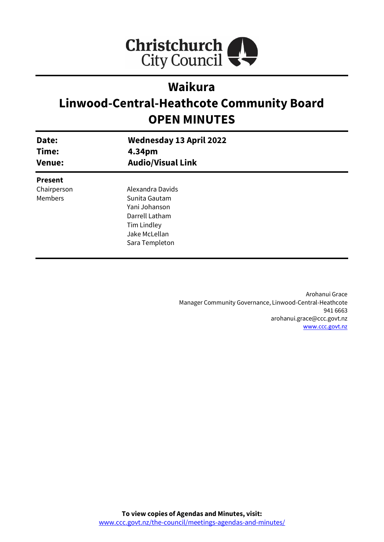

# **Waikura**

# **Linwood-Central-Heathcote Community Board OPEN MINUTES**

| Date:<br>Time: | <b>Wednesday 13 April 2022</b><br>4.34pm |  |
|----------------|------------------------------------------|--|
| <b>Venue:</b>  | <b>Audio/Visual Link</b>                 |  |
| <b>Present</b> |                                          |  |
| Chairperson    | Alexandra Davids                         |  |
| <b>Members</b> | Sunita Gautam                            |  |
|                | Yani Johanson                            |  |
|                | Darrell Latham                           |  |
|                | Tim Lindley                              |  |
|                | Jake McLellan                            |  |
|                | Sara Templeton                           |  |
|                |                                          |  |

Arohanui Grace Manager Community Governance, Linwood-Central-Heathcote 941 6663 arohanui.grace@ccc.govt.nz [www.ccc.govt.nz](http://www.ccc.govt.nz/)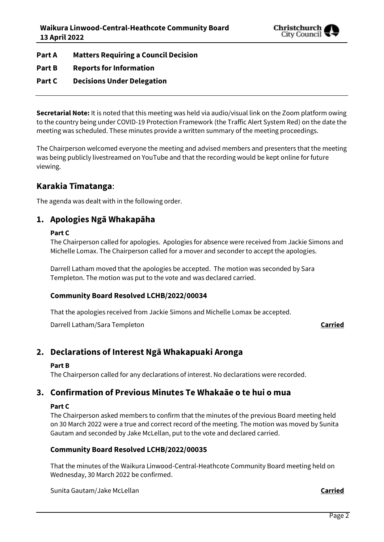

**Part A Matters Requiring a Council Decision**

- **Part B Reports for Information**
- **Part C Decisions Under Delegation**

**Secretarial Note:** It is noted that this meeting was held via audio/visual link on the Zoom platform owing to the country being under COVID-19 Protection Framework (the Traffic Alert System Red) on the date the meeting was scheduled. These minutes provide a written summary of the meeting proceedings.

The Chairperson welcomed everyone the meeting and advised members and presenters that the meeting was being publicly livestreamed on YouTube and that the recording would be kept online for future viewing.

# **Karakia Tīmatanga**:

The agenda was dealt with in the following order.

## **1. Apologies Ngā Whakapāha**

#### **Part C**

The Chairperson called for apologies. Apologies for absence were received from Jackie Simons and Michelle Lomax. The Chairperson called for a mover and seconder to accept the apologies.

Darrell Latham moved that the apologies be accepted. The motion was seconded by Sara Templeton. The motion was put to the vote and was declared carried.

#### **Community Board Resolved LCHB/2022/00034**

That the apologies received from Jackie Simons and Michelle Lomax be accepted.

Darrell Latham/Sara Templeton **Carried**

### **2. Declarations of Interest Ngā Whakapuaki Aronga**

#### **Part B**

The Chairperson called for any declarations of interest. No declarations were recorded.

### **3. Confirmation of Previous Minutes Te Whakaāe o te hui o mua**

#### **Part C**

The Chairperson asked members to confirm that the minutes of the previous Board meeting held on 30 March 2022 were a true and correct record of the meeting. The motion was moved by Sunita Gautam and seconded by Jake McLellan, put to the vote and declared carried.

#### **Community Board Resolved LCHB/2022/00035**

That the minutes of the Waikura Linwood-Central-Heathcote Community Board meeting held on Wednesday, 30 March 2022 be confirmed.

Sunita Gautam/Jake McLellan **Carried**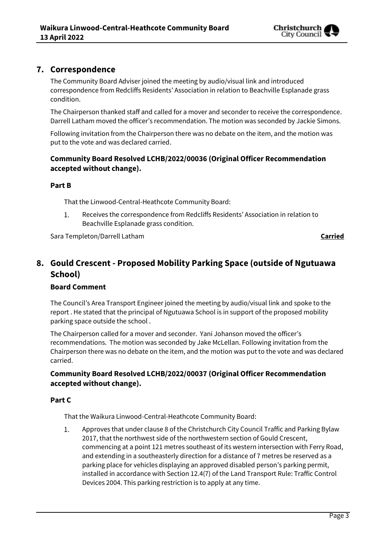

## **7. Correspondence**

The Community Board Adviser joined the meeting by audio/visual link and introduced correspondence from Redcliffs Residents' Association in relation to Beachville Esplanade grass condition.

The Chairperson thanked staff and called for a mover and seconder to receive the correspondence. Darrell Latham moved the officer's recommendation. The motion was seconded by Jackie Simons.

Following invitation from the Chairperson there was no debate on the item, and the motion was put to the vote and was declared carried.

### **Community Board Resolved LCHB/2022/00036 (Original Officer Recommendation accepted without change).**

#### **Part B**

That the Linwood-Central-Heathcote Community Board:

Receives the correspondence from Redcliffs Residents' Association in relation to 1. Beachville Esplanade grass condition.

Sara Templeton/Darrell Latham **Carried**

# **8. Gould Crescent - Proposed Mobility Parking Space (outside of Ngutuawa School)**

#### **Board Comment**

The Council's Area Transport Engineer joined the meeting by audio/visual link and spoke to the report . He stated that the principal of Ngutuawa School is in support of the proposed mobility parking space outside the school .

The Chairperson called for a mover and seconder. Yani Johanson moved the officer's recommendations. The motion was seconded by Jake McLellan. Following invitation from the Chairperson there was no debate on the item, and the motion was put to the vote and was declared carried.

### **Community Board Resolved LCHB/2022/00037 (Original Officer Recommendation accepted without change).**

#### **Part C**

That the Waikura Linwood-Central-Heathcote Community Board:

 $1.$ Approves that under clause 8 of the Christchurch City Council Traffic and Parking Bylaw 2017, that the northwest side of the northwestern section of Gould Crescent, commencing at a point 121 metres southeast of its western intersection with Ferry Road, and extending in a southeasterly direction for a distance of 7 metres be reserved as a parking place for vehicles displaying an approved disabled person's parking permit, installed in accordance with Section 12.4(7) of the Land Transport Rule: Traffic Control Devices 2004. This parking restriction is to apply at any time.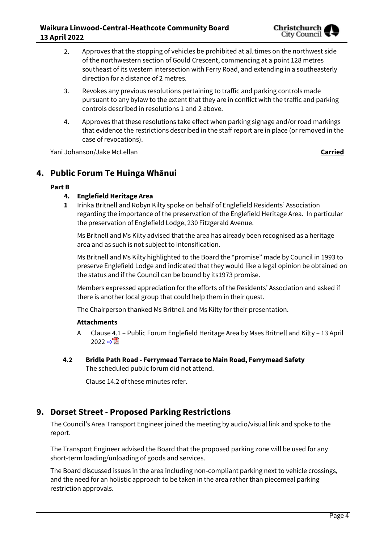- Approves that the stopping of vehicles be prohibited at all times on the northwest side 2. of the northwestern section of Gould Crescent, commencing at a point 128 metres southeast of its western intersection with Ferry Road, and extending in a southeasterly direction for a distance of 2 metres.
- 3. Revokes any previous resolutions pertaining to traffic and parking controls made pursuant to any bylaw to the extent that they are in conflict with the traffic and parking controls described in resolutions 1 and 2 above.
- 4. Approves that these resolutions take effect when parking signage and/or road markings that evidence the restrictions described in the staff report are in place (or removed in the case of revocations).

Yani Johanson/Jake McLellan **Carried**

# **4. Public Forum Te Huinga Whānui**

#### **Part B**

#### **4. Englefield Heritage Area**

**1** Irinka Britnell and Robyn Kilty spoke on behalf of Englefield Residents' Association regarding the importance of the preservation of the Englefield Heritage Area. In particular the preservation of Englefield Lodge, 230 Fitzgerald Avenue.

Ms Britnell and Ms Kilty advised that the area has already been recognised as a heritage area and as such is not subject to intensification.

Ms Britnell and Ms Kilty highlighted to the Board the "promise" made by Council in 1993 to preserve Englefield Lodge and indicated that they would like a legal opinion be obtained on the status and if the Council can be bound by its1973 promise.

Members expressed appreciation for the efforts of the Residents' Association and asked if there is another local group that could help them in their quest.

The Chairperson thanked Ms Britnell and Ms Kilty for their presentation.

#### **Attachments**

- A Clause 4.1 Public Forum Englefield Heritage Area by Mses Britnell and Kilty 13 April  $2022 \Rightarrow$
- **4.2 Bridle Path Road - Ferrymead Terrace to Main Road, Ferrymead Safety** The scheduled public forum did not attend.

Clause 14.2 of these minutes refer.

# **9. Dorset Street - Proposed Parking Restrictions**

The Council's Area Transport Engineer joined the meeting by audio/visual link and spoke to the report.

The Transport Engineer advised the Board that the proposed parking zone will be used for any short-term loading/unloading of goods and services.

The Board discussed issues in the area including non-compliant parking next to vehicle crossings, and the need for an holistic approach to be taken in the area rather than piecemeal parking restriction approvals.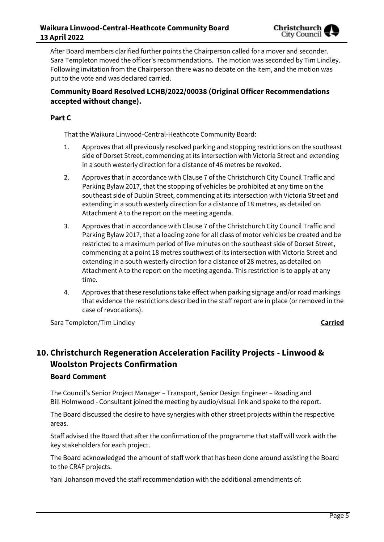After Board members clarified further points the Chairperson called for a mover and seconder. Sara Templeton moved the officer's recommendations. The motion was seconded by Tim Lindley. Following invitation from the Chairperson there was no debate on the item, and the motion was put to the vote and was declared carried.

### **Community Board Resolved LCHB/2022/00038 (Original Officer Recommendations accepted without change).**

#### **Part C**

That the Waikura Linwood-Central-Heathcote Community Board:

- 1. Approves that all previously resolved parking and stopping restrictions on the southeast side of Dorset Street, commencing at its intersection with Victoria Street and extending in a south westerly direction for a distance of 46 metres be revoked.
- 2. Approves that in accordance with Clause 7 of the Christchurch City Council Traffic and Parking Bylaw 2017, that the stopping of vehicles be prohibited at any time on the southeast side of Dublin Street, commencing at its intersection with Victoria Street and extending in a south westerly direction for a distance of 18 metres, as detailed on Attachment A to the report on the meeting agenda.
- 3. Approves that in accordance with Clause 7 of the Christchurch City Council Traffic and Parking Bylaw 2017, that a loading zone for all class of motor vehicles be created and be restricted to a maximum period of five minutes on the southeast side of Dorset Street, commencing at a point 18 metres southwest of its intersection with Victoria Street and extending in a south westerly direction for a distance of 28 metres, as detailed on Attachment A to the report on the meeting agenda. This restriction is to apply at any time.
- 4. Approves that these resolutions take effect when parking signage and/or road markings that evidence the restrictions described in the staff report are in place (or removed in the case of revocations).

Sara Templeton/Tim Lindley **Carried**

# **10. Christchurch Regeneration Acceleration Facility Projects - Linwood & Woolston Projects Confirmation Board Comment**

The Council's Senior Project Manager – Transport, Senior Design Engineer – Roading and Bill Holmwood - Consultant joined the meeting by audio/visual link and spoke to the report.

The Board discussed the desire to have synergies with other street projects within the respective areas.

Staff advised the Board that after the confirmation of the programme that staff will work with the key stakeholders for each project.

The Board acknowledged the amount of staff work that has been done around assisting the Board to the CRAF projects.

Yani Johanson moved the staff recommendation with the additional amendments of: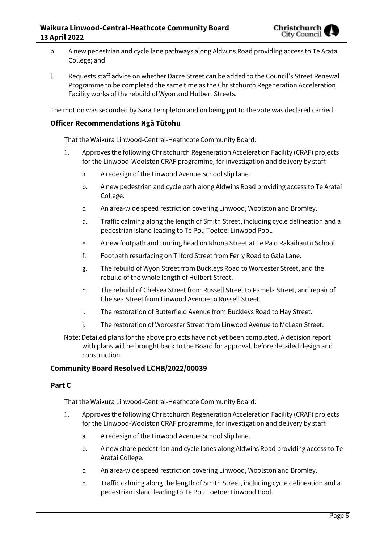

- b. A new pedestrian and cycle lane pathways along Aldwins Road providing access to Te Aratai College; and
- l. Requests staff advice on whether Dacre Street can be added to the Council's Street Renewal Programme to be completed the same time as the Christchurch Regeneration Acceleration Facility works of the rebuild of Wyon and Hulbert Streets.

The motion was seconded by Sara Templeton and on being put to the vote was declared carried.

#### **Officer Recommendations Ngā Tūtohu**

That the Waikura Linwood-Central-Heathcote Community Board:

- $1<sup>1</sup>$ Approves the following Christchurch Regeneration Acceleration Facility (CRAF) projects for the Linwood-Woolston CRAF programme, for investigation and delivery by staff:
	- a. A redesign of the Linwood Avenue School slip lane.
	- b. A new pedestrian and cycle path along Aldwins Road providing access to Te Aratai College.
	- c. An area-wide speed restriction covering Linwood, Woolston and Bromley.
	- d. Traffic calming along the length of Smith Street, including cycle delineation and a pedestrian island leading to Te Pou Toetoe: Linwood Pool.
	- e. A new footpath and turning head on Rhona Street at Te Pā o Rākaihautū School.
	- f. Footpath resurfacing on Tilford Street from Ferry Road to Gala Lane.
	- g. The rebuild of Wyon Street from Buckleys Road to Worcester Street, and the rebuild of the whole length of Hulbert Street.
	- h. The rebuild of Chelsea Street from Russell Street to Pamela Street, and repair of Chelsea Street from Linwood Avenue to Russell Street.
	- i. The restoration of Butterfield Avenue from Buckleys Road to Hay Street.
	- j. The restoration of Worcester Street from Linwood Avenue to McLean Street.
- Note: Detailed plans for the above projects have not yet been completed. A decision report with plans will be brought back to the Board for approval, before detailed design and construction.

#### **Community Board Resolved LCHB/2022/00039**

#### **Part C**

That the Waikura Linwood-Central-Heathcote Community Board:

- Approves the following Christchurch Regeneration Acceleration Facility (CRAF) projects  $1.$ for the Linwood-Woolston CRAF programme, for investigation and delivery by staff:
	- a. A redesign of the Linwood Avenue School slip lane.
	- b. A new share pedestrian and cycle lanes along Aldwins Road providing access to Te Aratai College.
	- c. An area-wide speed restriction covering Linwood, Woolston and Bromley.
	- d. Traffic calming along the length of Smith Street, including cycle delineation and a pedestrian island leading to Te Pou Toetoe: Linwood Pool.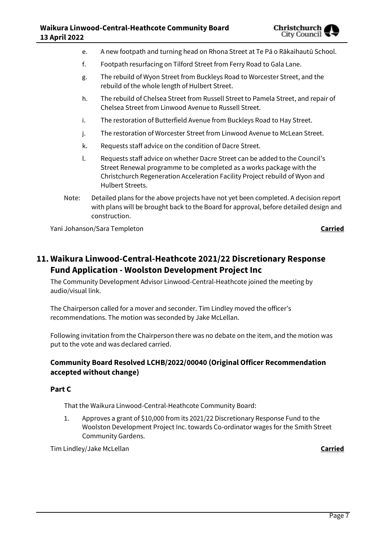

- e. A new footpath and turning head on Rhona Street at Te Pā o Rākaihautū School.
- f. Footpath resurfacing on Tilford Street from Ferry Road to Gala Lane.
- g. The rebuild of Wyon Street from Buckleys Road to Worcester Street, and the rebuild of the whole length of Hulbert Street.
- h. The rebuild of Chelsea Street from Russell Street to Pamela Street, and repair of Chelsea Street from Linwood Avenue to Russell Street.
- i. The restoration of Butterfield Avenue from Buckleys Road to Hay Street.
- j. The restoration of Worcester Street from Linwood Avenue to McLean Street.
- k. Requests staff advice on the condition of Dacre Street.
- l. Requests staff advice on whether Dacre Street can be added to the Council's Street Renewal programme to be completed as a works package with the Christchurch Regeneration Acceleration Facility Project rebuild of Wyon and Hulbert Streets.
- Note: Detailed plans for the above projects have not yet been completed. A decision report with plans will be brought back to the Board for approval, before detailed design and construction.

Yani Johanson/Sara Templeton **Carried**

# **11. Waikura Linwood-Central-Heathcote 2021/22 Discretionary Response Fund Application - Woolston Development Project Inc**

The Community Development Advisor Linwood-Central-Heathcote joined the meeting by audio/visual link.

The Chairperson called for a mover and seconder. Tim Lindley moved the officer's recommendations. The motion was seconded by Jake McLellan.

Following invitation from the Chairperson there was no debate on the item, and the motion was put to the vote and was declared carried.

#### **Community Board Resolved LCHB/2022/00040 (Original Officer Recommendation accepted without change)**

#### **Part C**

That the Waikura Linwood-Central-Heathcote Community Board:

1. Approves a grant of \$10,000 from its 2021/22 Discretionary Response Fund to the Woolston Development Project Inc. towards Co-ordinator wages for the Smith Street Community Gardens.

Tim Lindley/Jake McLellan **Carried**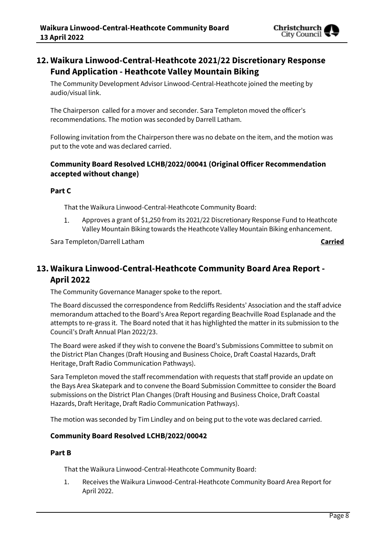

# **12. Waikura Linwood-Central-Heathcote 2021/22 Discretionary Response Fund Application - Heathcote Valley Mountain Biking**

The Community Development Advisor Linwood-Central-Heathcote joined the meeting by audio/visual link.

The Chairperson called for a mover and seconder. Sara Templeton moved the officer's recommendations. The motion was seconded by Darrell Latham.

Following invitation from the Chairperson there was no debate on the item, and the motion was put to the vote and was declared carried.

### **Community Board Resolved LCHB/2022/00041 (Original Officer Recommendation accepted without change)**

#### **Part C**

That the Waikura Linwood-Central-Heathcote Community Board:

1. Approves a grant of \$1,250 from its 2021/22 Discretionary Response Fund to Heathcote Valley Mountain Biking towards the Heathcote Valley Mountain Biking enhancement.

Sara Templeton/Darrell Latham **Carried**

# **13. Waikura Linwood-Central-Heathcote Community Board Area Report - April 2022**

The Community Governance Manager spoke to the report.

The Board discussed the correspondence from Redcliffs Residents' Association and the staff advice memorandum attached to the Board's Area Report regarding Beachville Road Esplanade and the attempts to re-grass it. The Board noted that it has highlighted the matter in its submission to the Council's Draft Annual Plan 2022/23.

The Board were asked if they wish to convene the Board's Submissions Committee to submit on the District Plan Changes (Draft Housing and Business Choice, Draft Coastal Hazards, Draft Heritage, Draft Radio Communication Pathways).

Sara Templeton moved the staff recommendation with requests that staff provide an update on the Bays Area Skatepark and to convene the Board Submission Committee to consider the Board submissions on the District Plan Changes (Draft Housing and Business Choice, Draft Coastal Hazards, Draft Heritage, Draft Radio Communication Pathways).

The motion was seconded by Tim Lindley and on being put to the vote was declared carried.

#### **Community Board Resolved LCHB/2022/00042**

#### **Part B**

That the Waikura Linwood-Central-Heathcote Community Board:

1. Receives the Waikura Linwood-Central-Heathcote Community Board Area Report for April 2022.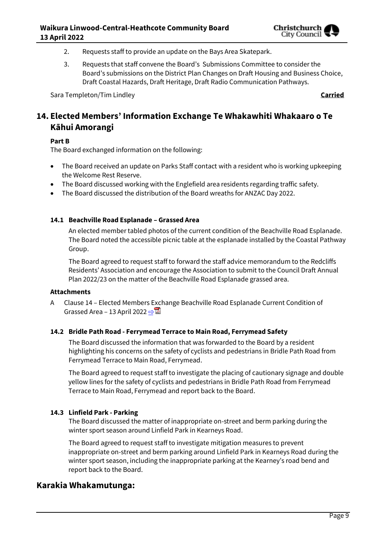- 2. Requests staff to provide an update on the Bays Area Skatepark.
- 3. Requests that staff convene the Board's Submissions Committee to consider the Board's submissions on the District Plan Changes on Draft Housing and Business Choice, Draft Coastal Hazards, Draft Heritage, Draft Radio Communication Pathways.

Sara Templeton/Tim Lindley **Carried**

# **14. Elected Members' Information Exchange Te Whakawhiti Whakaaro o Te Kāhui Amorangi**

#### **Part B**

The Board exchanged information on the following:

- The Board received an update on Parks Staff contact with a resident who is working upkeeping the Welcome Rest Reserve.
- The Board discussed working with the Englefield area residents regarding traffic safety.
- The Board discussed the distribution of the Board wreaths for ANZAC Day 2022.

#### **14.1 Beachville Road Esplanade – Grassed Area**

An elected member tabled photos of the current condition of the Beachville Road Esplanade. The Board noted the accessible picnic table at the esplanade installed by the Coastal Pathway Group.

The Board agreed to request staff to forward the staff advice memorandum to the Redcliffs Residents' Association and encourage the Association to submit to the Council Draft Annual Plan 2022/23 on the matter of the Beachville Road Esplanade grassed area.

#### **Attachments**

A Clause 14 – Elected Members Exchange Beachville Road Esplanade Current Condition of Grassed Area – 13 April 2022 ⇒<mark>ឌ</mark>

#### **14.2 Bridle Path Road - Ferrymead Terrace to Main Road, Ferrymead Safety**

The Board discussed the information that was forwarded to the Board by a resident highlighting his concerns on the safety of cyclists and pedestrians in Bridle Path Road from Ferrymead Terrace to Main Road, Ferrymead.

The Board agreed to request staff to investigate the placing of cautionary signage and double yellow lines for the safety of cyclists and pedestrians in Bridle Path Road from Ferrymead Terrace to Main Road, Ferrymead and report back to the Board.

#### **14.3 Linfield Park - Parking**

The Board discussed the matter of inappropriate on-street and berm parking during the winter sport season around Linfield Park in Kearneys Road.

The Board agreed to request staff to investigate mitigation measures to prevent inappropriate on-street and berm parking around Linfield Park in Kearneys Road during the winter sport season, including the inappropriate parking at the Kearney's road bend and report back to the Board.

### **Karakia Whakamutunga:**